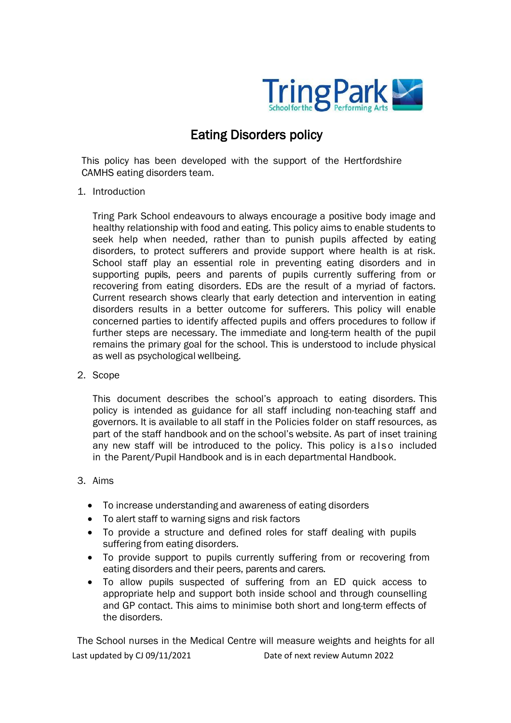

# Eating Disorders policy

This policy has been developed with the support of the Hertfordshire CAMHS eating disorders team.

1. Introduction

Tring Park School endeavours to always encourage a positive body image and healthy relationship with food and eating. This policy aims to enable students to seek help when needed, rather than to punish pupils affected by eating disorders, to protect sufferers and provide support where health is at risk. School staff play an essential role in preventing eating disorders and in supporting pupils, peers and parents of pupils currently suffering from or recovering from eating disorders. EDs are the result of a myriad of factors. Current research shows clearly that early detection and intervention in eating disorders results in a better outcome for sufferers. This policy will enable concerned parties to identify affected pupils and offers procedures to follow if further steps are necessary. The immediate and long-term health of the pupil remains the primary goal for the school. This is understood to include physical as well as psychological wellbeing.

## 2. Scope

This document describes the school's approach to eating disorders. This policy is intended as guidance for all staff including non-teaching staff and governors. It is available to all staff in the Policies folder on staff resources, as part of the staff handbook and on the school's website. As part of inset training any new staff will be introduced to the policy. This policy is a lso included in the Parent/Pupil Handbook and is in each departmental Handbook.

## 3. Aims

- To increase understanding and awareness of eating disorders
- To alert staff to warning signs and risk factors
- To provide a structure and defined roles for staff dealing with pupils suffering from eating disorders.
- To provide support to pupils currently suffering from or recovering from eating disorders and their peers, parents and carers.
- To allow pupils suspected of suffering from an ED quick access to appropriate help and support both inside school and through counselling and GP contact. This aims to minimise both short and long-term effects of the disorders.

Last updated by CJ 09/11/2021 Date of next review Autumn 2022 The School nurses in the Medical Centre will measure weights and heights for all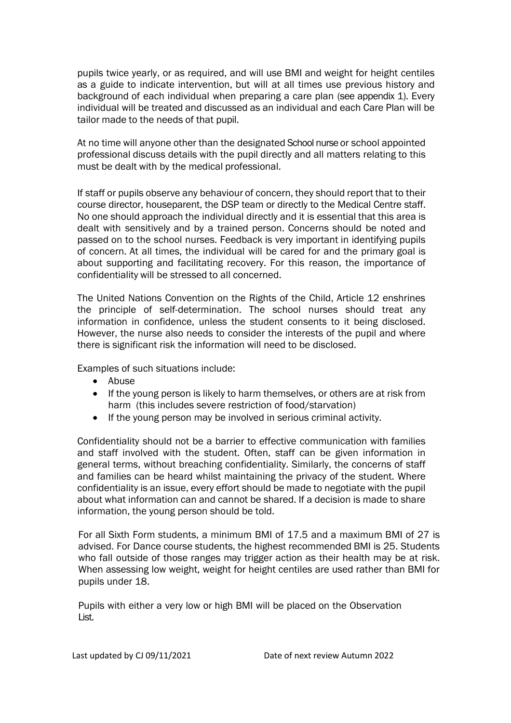pupils twice yearly, or as required, and will use BMI and weight for height centiles as a guide to indicate intervention, but will at all times use previous history and background of each individual when preparing a care plan (see appendix 1). Every individual will be treated and discussed as an individual and each Care Plan will be tailor made to the needs of that pupil.

At no time will anyone other than the designated School nurse or school appointed professional discuss details with the pupil directly and all matters relating to this must be dealt with by the medical professional.

If staff or pupils observe any behaviour of concern, they should report that to their course director, houseparent, the DSP team or directly to the Medical Centre staff. No one should approach the individual directly and it is essential that this area is dealt with sensitively and by a trained person. Concerns should be noted and passed on to the school nurses. Feedback is very important in identifying pupils of concern. At all times, the individual will be cared for and the primary goal is about supporting and facilitating recovery. For this reason, the importance of confidentiality will be stressed to all concerned.

The United Nations Convention on the Rights of the Child, Article 12 enshrines the principle of self-determination. The school nurses should treat any information in confidence, unless the student consents to it being disclosed. However, the nurse also needs to consider the interests of the pupil and where there is significant risk the information will need to be disclosed.

Examples of such situations include:

- Abuse
- If the young person is likely to harm themselves, or others are at risk from harm (this includes severe restriction of food/starvation)
- If the young person may be involved in serious criminal activity.

Confidentiality should not be a barrier to effective communication with families and staff involved with the student. Often, staff can be given information in general terms, without breaching confidentiality. Similarly, the concerns of staff and families can be heard whilst maintaining the privacy of the student. Where confidentiality is an issue, every effort should be made to negotiate with the pupil about what information can and cannot be shared. If a decision is made to share information, the young person should be told.

For all Sixth Form students, a minimum BMI of 17.5 and a maximum BMI of 27 is advised. For Dance course students, the highest recommended BMI is 25. Students who fall outside of those ranges may trigger action as their health may be at risk. When assessing low weight, weight for height centiles are used rather than BMI for pupils under 18.

Pupils with either a very low or high BMI will be placed on the Observation List.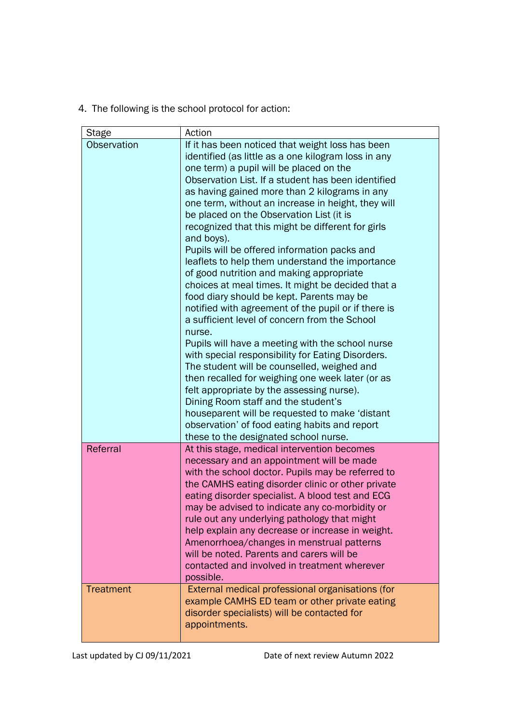4. The following is the school protocol for action:

| <b>Stage</b>     | Action                                                                                                                                                                                                                                                                                                                                                                                                                                                                                                                                                                                                                                                                                                                                                                                                                                                                                                                                                                                                                                                                                                                                                                                                                                        |  |  |  |
|------------------|-----------------------------------------------------------------------------------------------------------------------------------------------------------------------------------------------------------------------------------------------------------------------------------------------------------------------------------------------------------------------------------------------------------------------------------------------------------------------------------------------------------------------------------------------------------------------------------------------------------------------------------------------------------------------------------------------------------------------------------------------------------------------------------------------------------------------------------------------------------------------------------------------------------------------------------------------------------------------------------------------------------------------------------------------------------------------------------------------------------------------------------------------------------------------------------------------------------------------------------------------|--|--|--|
| Observation      | If it has been noticed that weight loss has been<br>identified (as little as a one kilogram loss in any<br>one term) a pupil will be placed on the<br>Observation List. If a student has been identified<br>as having gained more than 2 kilograms in any<br>one term, without an increase in height, they will<br>be placed on the Observation List (it is<br>recognized that this might be different for girls<br>and boys).<br>Pupils will be offered information packs and<br>leaflets to help them understand the importance<br>of good nutrition and making appropriate<br>choices at meal times. It might be decided that a<br>food diary should be kept. Parents may be<br>notified with agreement of the pupil or if there is<br>a sufficient level of concern from the School<br>nurse.<br>Pupils will have a meeting with the school nurse<br>with special responsibility for Eating Disorders.<br>The student will be counselled, weighed and<br>then recalled for weighing one week later (or as<br>felt appropriate by the assessing nurse).<br>Dining Room staff and the student's<br>houseparent will be requested to make 'distant<br>observation' of food eating habits and report<br>these to the designated school nurse. |  |  |  |
| Referral         | At this stage, medical intervention becomes<br>necessary and an appointment will be made<br>with the school doctor. Pupils may be referred to<br>the CAMHS eating disorder clinic or other private<br>eating disorder specialist. A blood test and ECG<br>may be advised to indicate any co-morbidity or<br>rule out any underlying pathology that might<br>help explain any decrease or increase in weight.<br>Amenorrhoea/changes in menstrual patterns<br>will be noted. Parents and carers will be<br>contacted and involved in treatment wherever<br>possible.                                                                                                                                                                                                                                                                                                                                                                                                                                                                                                                                                                                                                                                                           |  |  |  |
| <b>Treatment</b> | External medical professional organisations (for<br>example CAMHS ED team or other private eating<br>disorder specialists) will be contacted for<br>appointments.                                                                                                                                                                                                                                                                                                                                                                                                                                                                                                                                                                                                                                                                                                                                                                                                                                                                                                                                                                                                                                                                             |  |  |  |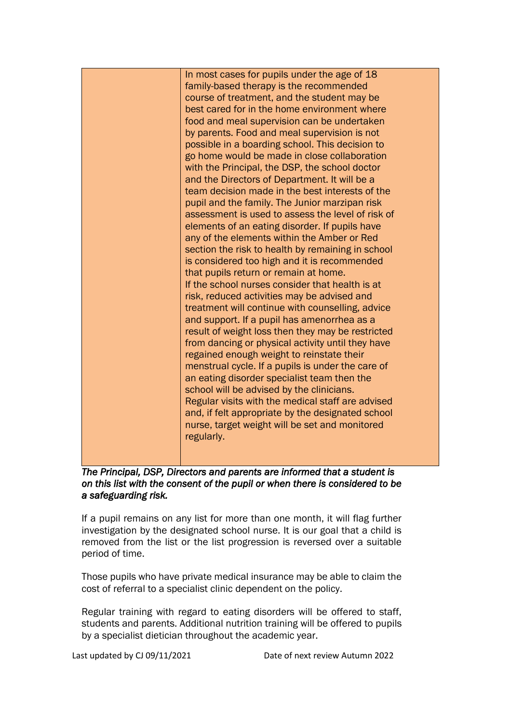| In most cases for pupils under the age of 18<br>family-based therapy is the recommended<br>course of treatment, and the student may be<br>best cared for in the home environment where<br>food and meal supervision can be undertaken<br>by parents. Food and meal supervision is not<br>possible in a boarding school. This decision to<br>go home would be made in close collaboration<br>with the Principal, the DSP, the school doctor<br>and the Directors of Department. It will be a<br>team decision made in the best interests of the<br>pupil and the family. The Junior marzipan risk<br>assessment is used to assess the level of risk of<br>elements of an eating disorder. If pupils have<br>any of the elements within the Amber or Red<br>section the risk to health by remaining in school<br>is considered too high and it is recommended<br>that pupils return or remain at home.<br>If the school nurses consider that health is at<br>risk, reduced activities may be advised and<br>treatment will continue with counselling, advice<br>and support. If a pupil has amenorrhea as a<br>result of weight loss then they may be restricted<br>from dancing or physical activity until they have<br>regained enough weight to reinstate their<br>menstrual cycle. If a pupils is under the care of<br>an eating disorder specialist team then the |
|----------------------------------------------------------------------------------------------------------------------------------------------------------------------------------------------------------------------------------------------------------------------------------------------------------------------------------------------------------------------------------------------------------------------------------------------------------------------------------------------------------------------------------------------------------------------------------------------------------------------------------------------------------------------------------------------------------------------------------------------------------------------------------------------------------------------------------------------------------------------------------------------------------------------------------------------------------------------------------------------------------------------------------------------------------------------------------------------------------------------------------------------------------------------------------------------------------------------------------------------------------------------------------------------------------------------------------------------------------------------|
| school will be advised by the clinicians.<br>Regular visits with the medical staff are advised<br>and, if felt appropriate by the designated school<br>nurse, target weight will be set and monitored<br>regularly.                                                                                                                                                                                                                                                                                                                                                                                                                                                                                                                                                                                                                                                                                                                                                                                                                                                                                                                                                                                                                                                                                                                                                  |

*The Principal, DSP, Directors and parents are informed that a student is on this list with the consent of the pupil or when there is considered to be a safeguarding risk.* 

If a pupil remains on any list for more than one month, it will flag further investigation by the designated school nurse. It is our goal that a child is removed from the list or the list progression is reversed over a suitable period of time.

Those pupils who have private medical insurance may be able to claim the cost of referral to a specialist clinic dependent on the policy.

Regular training with regard to eating disorders will be offered to staff, students and parents. Additional nutrition training will be offered to pupils by a specialist dietician throughout the academic year.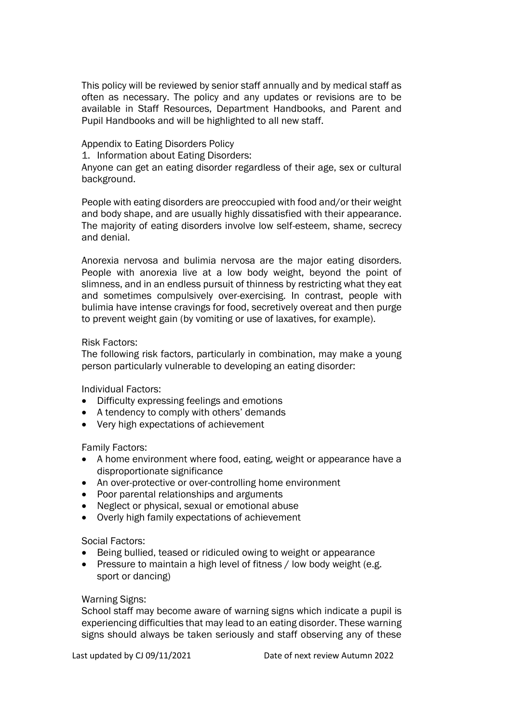This policy will be reviewed by senior staff annually and by medical staff as often as necessary. The policy and any updates or revisions are to be available in Staff Resources, Department Handbooks, and Parent and Pupil Handbooks and will be highlighted to all new staff.

## Appendix to Eating Disorders Policy

1. Information about Eating Disorders:

Anyone can get an eating disorder regardless of their age, sex or cultural background.

People with eating disorders are preoccupied with food and/or their weight and body shape, and are usually highly dissatisfied with their appearance. The majority of eating disorders involve low self-esteem, shame, secrecy and denial.

Anorexia nervosa and bulimia nervosa are the major eating disorders. People with anorexia live at a low body weight, beyond the point of slimness, and in an endless pursuit of thinness by restricting what they eat and sometimes compulsively over-exercising. In contrast, people with bulimia have intense cravings for food, secretively overeat and then purge to prevent weight gain (by vomiting or use of laxatives, for example).

## Risk Factors:

The following risk factors, particularly in combination, may make a young person particularly vulnerable to developing an eating disorder:

Individual Factors:

- Difficulty expressing feelings and emotions
- A tendency to comply with others' demands
- Very high expectations of achievement

Family Factors:

- A home environment where food, eating, weight or appearance have a disproportionate significance
- An over-protective or over-controlling home environment
- Poor parental relationships and arguments
- Neglect or physical, sexual or emotional abuse
- Overly high family expectations of achievement

### Social Factors:

- Being bullied, teased or ridiculed owing to weight or appearance
- Pressure to maintain a high level of fitness / low body weight (e.g. sport or dancing)

### Warning Signs:

School staff may become aware of warning signs which indicate a pupil is experiencing difficulties that may lead to an eating disorder. These warning signs should always be taken seriously and staff observing any of these

Last updated by CJ 09/11/2021 Date of next review Autumn 2022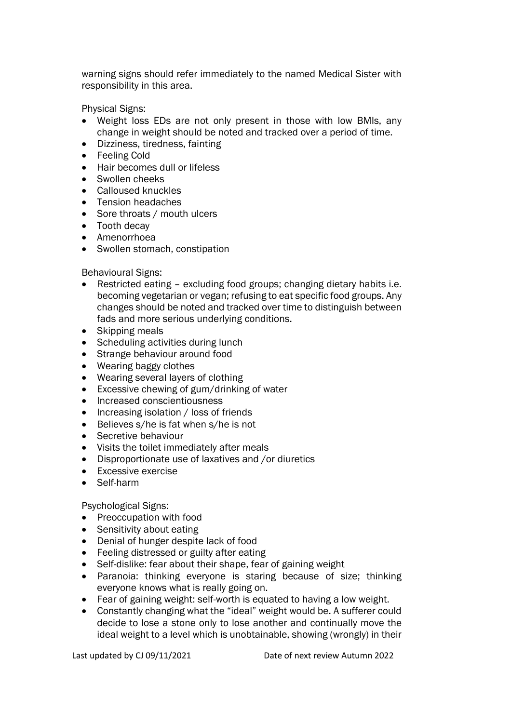warning signs should refer immediately to the named Medical Sister with responsibility in this area.

Physical Signs:

- Weight loss EDs are not only present in those with low BMIs, any change in weight should be noted and tracked over a period of time.
- Dizziness, tiredness, fainting
- Feeling Cold
- Hair becomes dull or lifeless
- Swollen cheeks
- Calloused knuckles
- Tension headaches
- Sore throats / mouth ulcers
- Tooth decay
- Amenorrhoea
- Swollen stomach, constipation

Behavioural Signs:

- Restricted eating excluding food groups; changing dietary habits i.e. becoming vegetarian or vegan; refusing to eat specific food groups. Any changes should be noted and tracked over time to distinguish between fads and more serious underlying conditions.
- Skipping meals
- Scheduling activities during lunch
- Strange behaviour around food
- Wearing baggy clothes
- Wearing several layers of clothing
- Excessive chewing of gum/drinking of water
- Increased conscientiousness
- Increasing isolation / loss of friends
- Believes s/he is fat when s/he is not
- Secretive behaviour
- Visits the toilet immediately after meals
- Disproportionate use of laxatives and /or diuretics
- Excessive exercise
- Self-harm

Psychological Signs:

- Preoccupation with food
- Sensitivity about eating
- Denial of hunger despite lack of food
- Feeling distressed or guilty after eating
- Self-dislike: fear about their shape, fear of gaining weight
- Paranoia: thinking everyone is staring because of size; thinking everyone knows what is really going on.
- Fear of gaining weight: self-worth is equated to having a low weight.
- Constantly changing what the "ideal" weight would be. A sufferer could decide to lose a stone only to lose another and continually move the ideal weight to a level which is unobtainable, showing (wrongly) in their

Last updated by CJ 09/11/2021 Date of next review Autumn 2022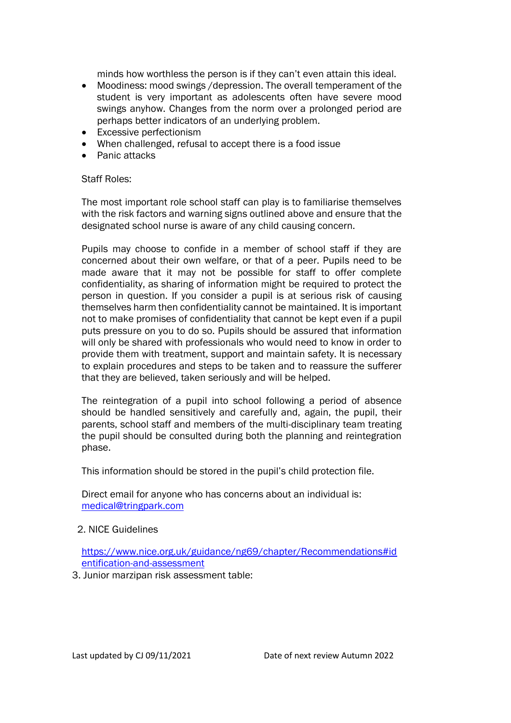minds how worthless the person is if they can't even attain this ideal.

- Moodiness: mood swings /depression. The overall temperament of the student is very important as adolescents often have severe mood swings anyhow. Changes from the norm over a prolonged period are perhaps better indicators of an underlying problem.
- Excessive perfectionism
- When challenged, refusal to accept there is a food issue
- Panic attacks

## Staff Roles:

The most important role school staff can play is to familiarise themselves with the risk factors and warning signs outlined above and ensure that the designated school nurse is aware of any child causing concern.

Pupils may choose to confide in a member of school staff if they are concerned about their own welfare, or that of a peer. Pupils need to be made aware that it may not be possible for staff to offer complete confidentiality, as sharing of information might be required to protect the person in question. If you consider a pupil is at serious risk of causing themselves harm then confidentiality cannot be maintained. It is important not to make promises of confidentiality that cannot be kept even if a pupil puts pressure on you to do so. Pupils should be assured that information will only be shared with professionals who would need to know in order to provide them with treatment, support and maintain safety. It is necessary to explain procedures and steps to be taken and to reassure the sufferer that they are believed, taken seriously and will be helped.

The reintegration of a pupil into school following a period of absence should be handled sensitively and carefully and, again, the pupil, their parents, school staff and members of the multi-disciplinary team treating the pupil should be consulted during both the planning and reintegration phase.

This information should be stored in the pupil's child protection file.

Direct email for anyone who has concerns about an individual is: [medical@tringpark.com](mailto:medical@tringpark.com?subject=Eating%20Disorders%20Policy)

## 2. NICE Guidelines

[https://www.nice.org.uk/guidance/ng69/chapter/Recommendations#id](https://www.nice.org.uk/guidance/ng69/chapter/Recommendations#identification-and-assessment) [entification-and-assessment](https://www.nice.org.uk/guidance/ng69/chapter/Recommendations#identification-and-assessment)

3. Junior marzipan risk assessment table: